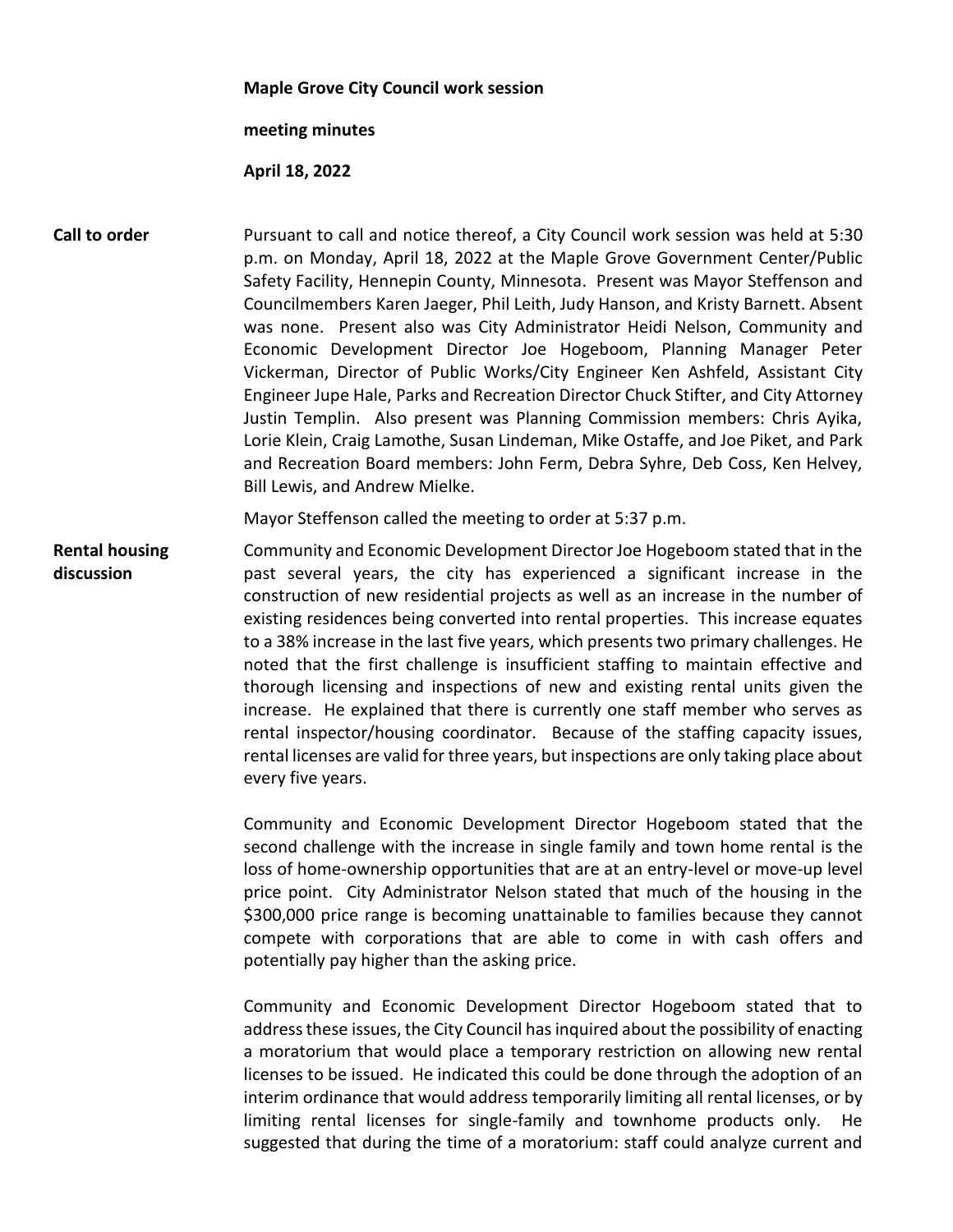## **Maple Grove City Council work session**

## **meeting minutes**

## **April 18, 2022**

**Call to order** Pursuant to call and notice thereof, a City Council work session was held at 5:30 p.m. on Monday, April 18, 2022 at the Maple Grove Government Center/Public Safety Facility, Hennepin County, Minnesota. Present was Mayor Steffenson and Councilmembers Karen Jaeger, Phil Leith, Judy Hanson, and Kristy Barnett. Absent was none. Present also was City Administrator Heidi Nelson, Community and Economic Development Director Joe Hogeboom, Planning Manager Peter Vickerman, Director of Public Works/City Engineer Ken Ashfeld, Assistant City Engineer Jupe Hale, Parks and Recreation Director Chuck Stifter, and City Attorney Justin Templin. Also present was Planning Commission members: Chris Ayika, Lorie Klein, Craig Lamothe, Susan Lindeman, Mike Ostaffe, and Joe Piket, and Park and Recreation Board members: John Ferm, Debra Syhre, Deb Coss, Ken Helvey, Bill Lewis, and Andrew Mielke.

Mayor Steffenson called the meeting to order at 5:37 p.m.

**Rental housing discussion** Community and Economic Development Director Joe Hogeboom stated that in the past several years, the city has experienced a significant increase in the construction of new residential projects as well as an increase in the number of existing residences being converted into rental properties. This increase equates to a 38% increase in the last five years, which presents two primary challenges. He noted that the first challenge is insufficient staffing to maintain effective and thorough licensing and inspections of new and existing rental units given the increase. He explained that there is currently one staff member who serves as rental inspector/housing coordinator. Because of the staffing capacity issues, rental licenses are valid for three years, but inspections are only taking place about every five years.

> Community and Economic Development Director Hogeboom stated that the second challenge with the increase in single family and town home rental is the loss of home-ownership opportunities that are at an entry-level or move-up level price point. City Administrator Nelson stated that much of the housing in the \$300,000 price range is becoming unattainable to families because they cannot compete with corporations that are able to come in with cash offers and potentially pay higher than the asking price.

> Community and Economic Development Director Hogeboom stated that to address these issues, the City Council has inquired about the possibility of enacting a moratorium that would place a temporary restriction on allowing new rental licenses to be issued. He indicated this could be done through the adoption of an interim ordinance that would address temporarily limiting all rental licenses, or by limiting rental licenses for single-family and townhome products only. He suggested that during the time of a moratorium: staff could analyze current and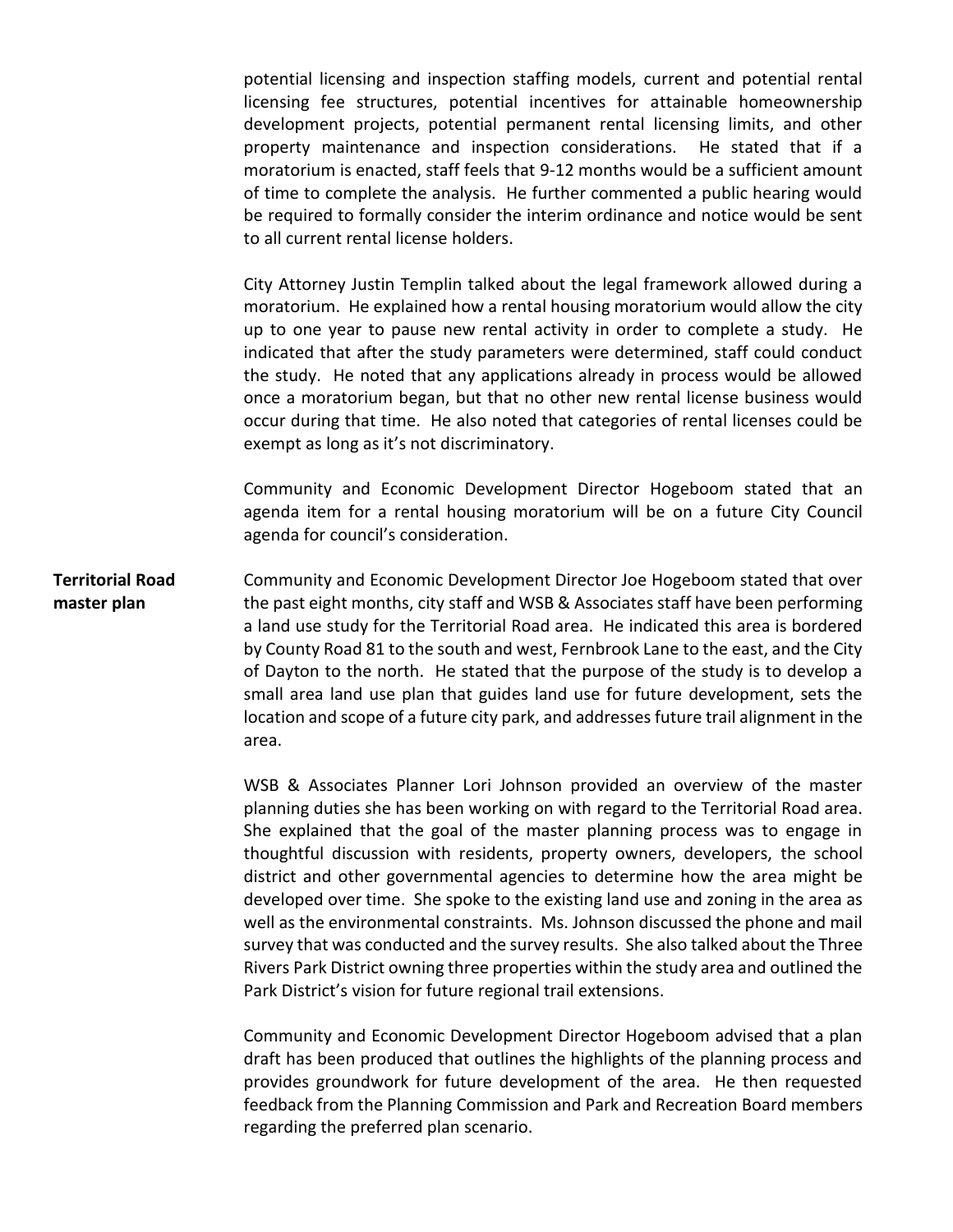potential licensing and inspection staffing models, current and potential rental licensing fee structures, potential incentives for attainable homeownership development projects, potential permanent rental licensing limits, and other property maintenance and inspection considerations. He stated that if a moratorium is enacted, staff feels that 9-12 months would be a sufficient amount of time to complete the analysis. He further commented a public hearing would be required to formally consider the interim ordinance and notice would be sent to all current rental license holders.

City Attorney Justin Templin talked about the legal framework allowed during a moratorium. He explained how a rental housing moratorium would allow the city up to one year to pause new rental activity in order to complete a study. He indicated that after the study parameters were determined, staff could conduct the study. He noted that any applications already in process would be allowed once a moratorium began, but that no other new rental license business would occur during that time. He also noted that categories of rental licenses could be exempt as long as it's not discriminatory.

Community and Economic Development Director Hogeboom stated that an agenda item for a rental housing moratorium will be on a future City Council agenda for council's consideration.

**Territorial Road master plan** Community and Economic Development Director Joe Hogeboom stated that over the past eight months, city staff and WSB & Associates staff have been performing a land use study for the Territorial Road area. He indicated this area is bordered by County Road 81 to the south and west, Fernbrook Lane to the east, and the City of Dayton to the north. He stated that the purpose of the study is to develop a small area land use plan that guides land use for future development, sets the location and scope of a future city park, and addresses future trail alignment in the area.

> WSB & Associates Planner Lori Johnson provided an overview of the master planning duties she has been working on with regard to the Territorial Road area. She explained that the goal of the master planning process was to engage in thoughtful discussion with residents, property owners, developers, the school district and other governmental agencies to determine how the area might be developed over time. She spoke to the existing land use and zoning in the area as well as the environmental constraints. Ms. Johnson discussed the phone and mail survey that was conducted and the survey results. She also talked about the Three Rivers Park District owning three properties within the study area and outlined the Park District's vision for future regional trail extensions.

> Community and Economic Development Director Hogeboom advised that a plan draft has been produced that outlines the highlights of the planning process and provides groundwork for future development of the area. He then requested feedback from the Planning Commission and Park and Recreation Board members regarding the preferred plan scenario.